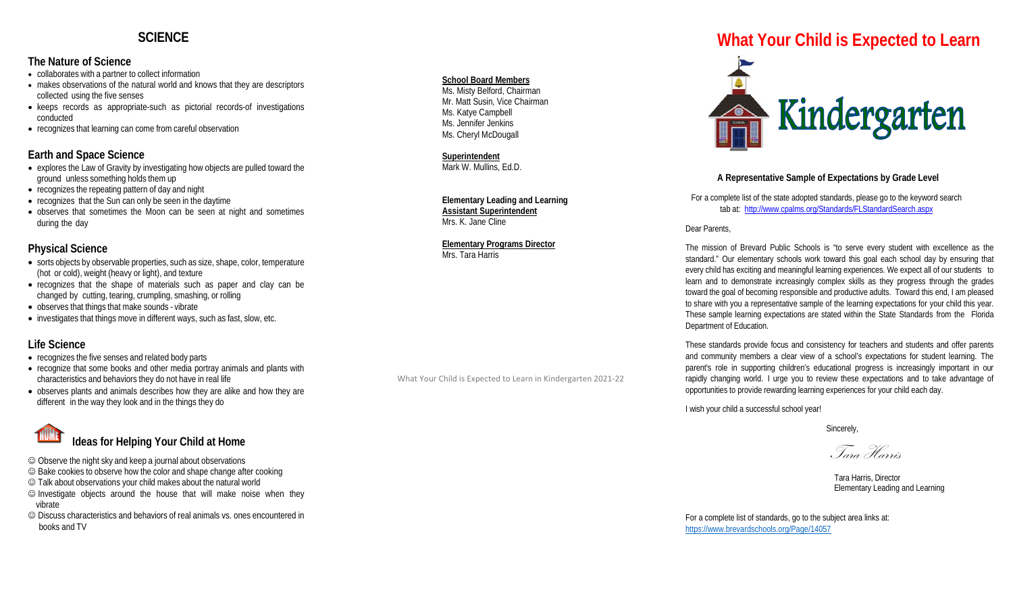## **SCIENCE**

#### **The Nature of Science**

- collaborates with a partner to collect information
- makes observations of the natural world and knows that they are descriptors collected using the five senses
- keeps records as appropriate-such as pictorial records-of investigations conducted
- recognizes that learning can come from careful observation

### **Earth and Space Science**

- explores the Law of Gravity by investigating how objects are pulled toward the ground unless something holds them up
- recognizes the repeating pattern of day and night
- recognizes that the Sun can only be seen in the daytime
- observes that sometimes the Moon can be seen at night and sometimes during the day

### **Physical Science**

- sorts objects by observable properties, such as size, shape, color, temperature (hot or cold), weight (heavy or light), and texture
- recognizes that the shape of materials such as paper and clay can be changed by cutting, tearing, crumpling, smashing, or rolling
- observes that things that make sounds vibrate
- investigates that things move in different ways, such as fast, slow, etc.

### **Life Science**

- recognizes the five senses and related body parts
- recognize that some books and other media portray animals and plants with characteristics and behaviors they do not have in real life
- observes plants and animals describes how they are alike and how they are different in the way they look and in the things they do

# **Ideas for Helping Your Child at Home**

Observe the night sky and keep a journal about observations

- Bake cookies to observe how the color and shape change after cooking
- Talk about observations your child makes about the natural world
- $\odot$  Investigate objects around the house that will make noise when they vibrate
- Discuss characteristics and behaviors of real animals vs. ones encountered in books and TV

#### **School Board Members**

Ms. Misty Belford, Chairman Mr. Matt Susin, Vice Chairman Ms. Katye Campbell Ms. Jennifer Jenkins Ms. Cheryl McDougall

**Superintendent** Mark W. Mullins, Ed.D.

**Elementary Leading and Learning Assistant Superintendent** Mrs. K. Jane Cline

**Elementary Programs Director** Mrs. Tara Harris

What Your Child is Expected to Learn in Kindergarten 2021-22

# **What Your Child is Expected to Learn**



### **A Representative Sample of Expectations by Grade Level**

For a complete list of the state adopted standards, please go to the keyword search tab at: <http://www.cpalms.org/Standards/FLStandardSearch.aspx>

Dear Parents,

The mission of Brevard Public Schools is "to serve every student with excellence as the standard." Our elementary schools work toward this goal each school day by ensuring that every child has exciting and meaningful learning experiences. We expect all of our students to learn and to demonstrate increasingly complex skills as they progress through the grades toward the goal of becoming responsible and productive adults. Toward this end, I am pleased to share with you a representative sample of the learning expectations for your child this year. These sample learning expectations are stated within the State Standards from the Florida Department of Education.

These standards provide focus and consistency for teachers and students and offer parents and community members a clear view of a school's expectations for student learning. The parent's role in supporting children's educational progress is increasingly important in our rapidly changing world. I urge you to review these expectations and to take advantage of opportunities to provide rewarding learning experiences for your child each day.

I wish your child a successful school year!

Sincerely,

Tara Harris

 Tara Harris, Director Elementary Leading and Learning

For a complete list of standards, go to the subject area links at: <https://www.brevardschools.org/Page/14057>